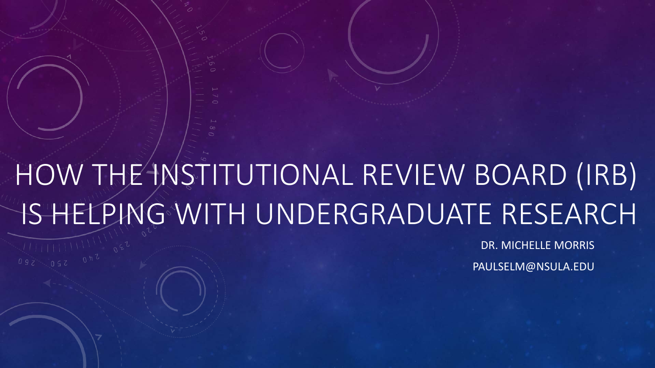# HOW THE INSTITUTIONAL REVIEW BOARD (IRB) IS HELPING WITH UNDERGRADUATE RESEARCH

DR. MICHELLE MORRIS

PAULSELM@NSULA.EDU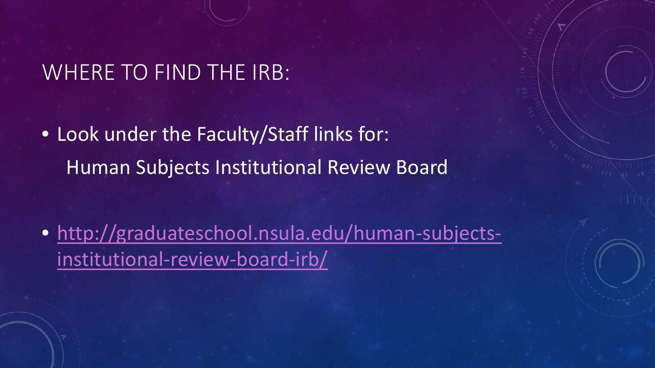## WHERE TO FIND THE IRB:

• Look under the Faculty/Staff links for: Human Subjects Institutional Review Board

• [http://graduateschool.nsula.edu/human-subjects](http://graduateschool.nsula.edu/human-subjects-institutional-review-board-irb/)institutional-review-board-irb/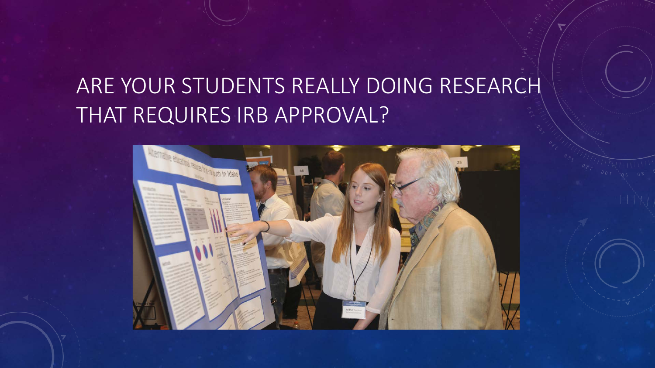# ARE YOUR STUDENTS REALLY DOING RESEARCH THAT REQUIRES IRB APPROVAL?

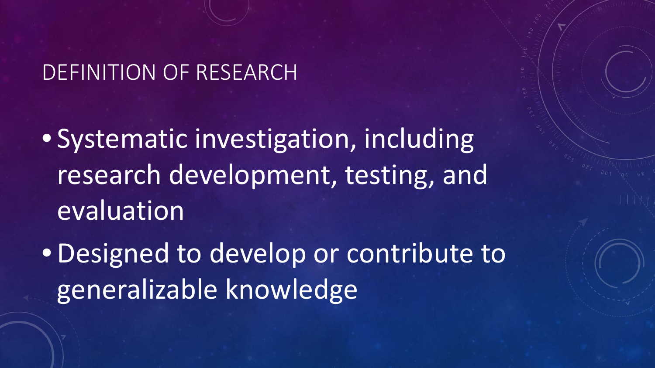## DEFINITION OF RESEARCH

• Systematic investigation, including research development, testing, and evaluation

• Designed to develop or contribute to generalizable knowledge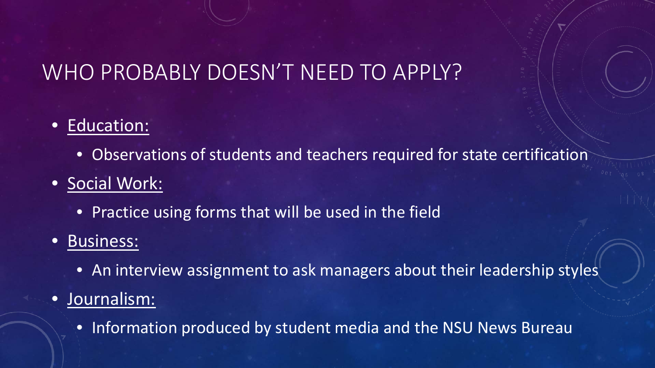# WHO PROBABLY DOESN'T NEED TO APPLY?

#### Education:

• Observations of students and teachers required for state certification

### • Social Work:

• Practice using forms that will be used in the field

#### • Business:

• An interview assignment to ask managers about their leadership styles

### • Journalism:

• Information produced by student media and the NSU News Bureau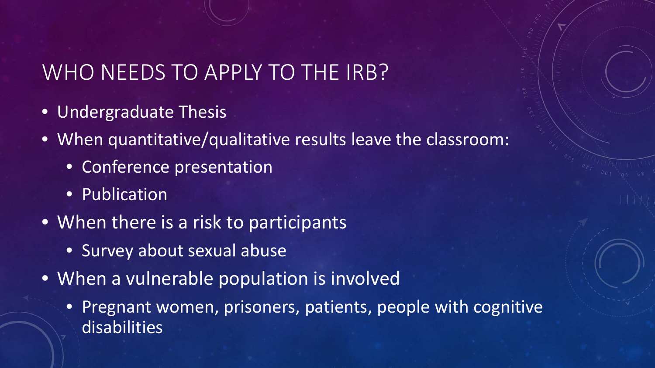# WHO NEEDS TO APPLY TO THE IRB?

- **Undergraduate Thesis**
- When quantitative/qualitative results leave the classroom:
	- Conference presentation
	- Publication
- When there is a risk to participants
	- Survey about sexual abuse
- When a vulnerable population is involved
	- Pregnant women, prisoners, patients, people with cognitive disabilities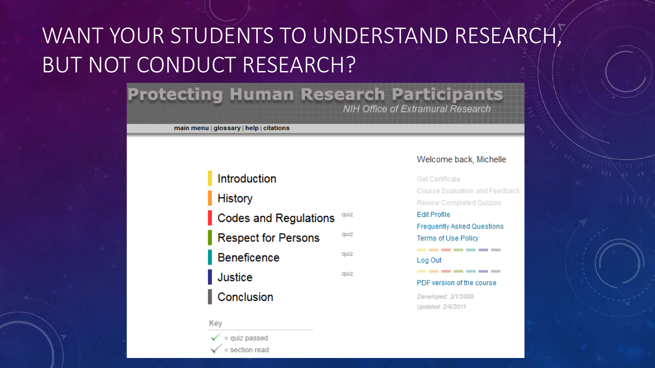# WANT YOUR STUDENTS TO UNDERSTAND RESEARCH, BUT NOT CONDUCT RESEARCH?

#### **Protecting Human Research Participants NIH Office of Extramural Research**

main menu | glossary | help | citations

#### Introduction **History** Codes and Regulations quiz **Respect for Persons** quiz Beneficence quiz quiz Justice Conclusion

Key

 $\checkmark$  = quiz passed = section read

#### Welcome back, Michelle

Get Certificate Course Evaluation and Feedback **Review Completed Quizzes Edit Profile Frequently Asked Questions Terms of Use Policy** ------------Log Out \_\_\_\_\_\_\_ PDF version of the course

Developed: 3/1/2008 Updated: 2/4/2011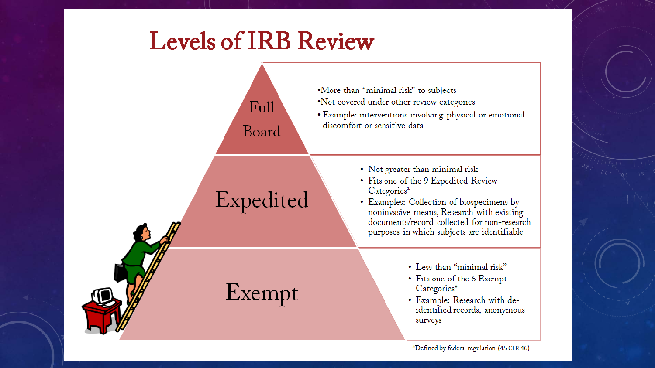# **Levels of IRB Review**

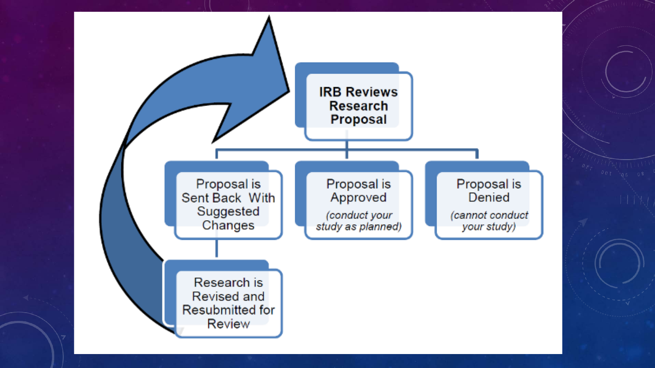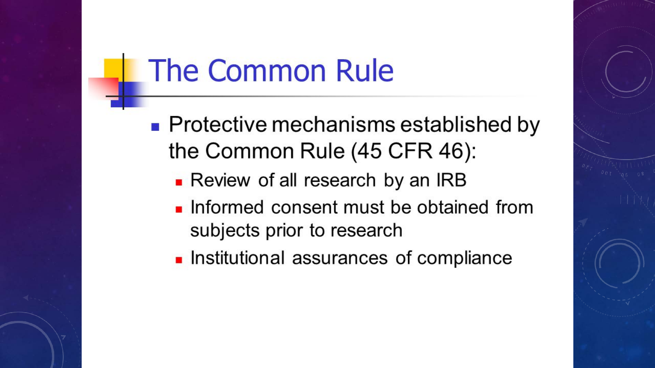# **The Common Rule**

- Protective mechanisms established by the Common Rule (45 CFR 46):
	- Review of all research by an IRB
	- Informed consent must be obtained from subjects prior to research
	- Institutional assurances of compliance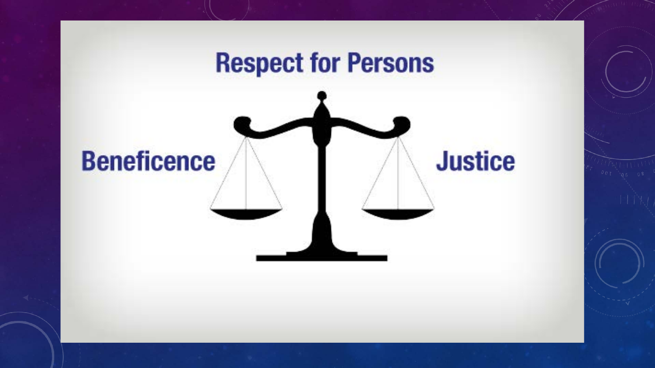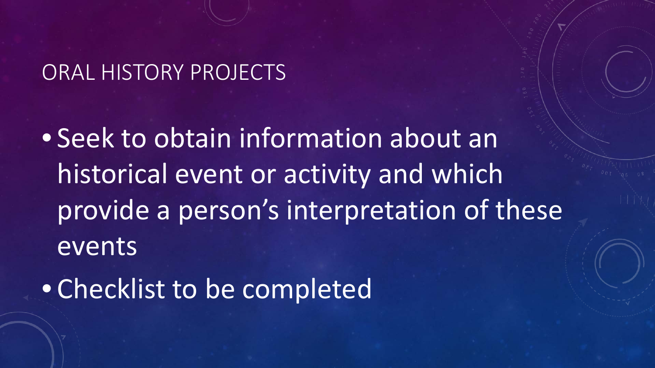## ORAL HISTORY PROJECTS

• Seek to obtain information about an historical event or activity and which provide a person's interpretation of these events

• Checklist to be completed